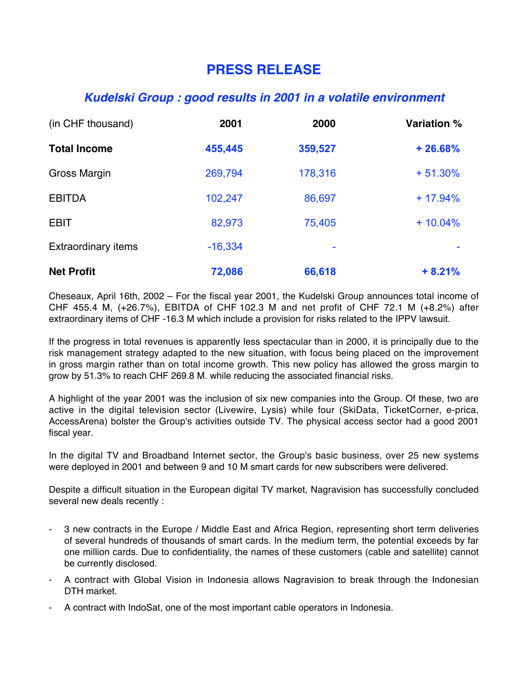## **PRESS RELEASE**

## **Kudelski Group : good results in 2001 in a volatile environment**

| (in CHF thousand)<br><b>Total Income</b> | 2001<br>455,445 | 2000<br>359,527 | Variation %<br>$+26.68%$ |
|------------------------------------------|-----------------|-----------------|--------------------------|
|                                          |                 |                 |                          |
| <b>EBITDA</b>                            | 102,247         | 86,697          | $+17.94%$                |
| <b>EBIT</b>                              | 82,973          | 75,405          | $+10.04%$                |
| <b>Extraordinary items</b>               | $-16,334$       | ۰               |                          |
| <b>Net Profit</b>                        | 72,086          | 66,618          | $+8.21%$                 |

Cheseaux, April 16th, 2002 – For the fiscal year 2001, the Kudelski Group announces total income of CHF 455.4 M, (+26.7%), EBITDA of CHF!102.3 M and net profit of CHF 72.1 M (+8.2%) after extraordinary items of CHF -16.3 M which include a provision for risks related to the IPPV lawsuit.

If the progress in total revenues is apparently less spectacular than in 2000, it is principally due to the risk management strategy adapted to the new situation, with focus being placed on the improvement in gross margin rather than on total income growth. This new policy has allowed the gross margin to grow by 51.3% to reach CHF 269.8 M. while reducing the associated financial risks.

A highlight of the year 2001 was the inclusion of six new companies into the Group. Of these, two are active in the digital television sector (Livewire, Lysis) while four (SkiData, TicketCorner, e-prica, AccessArena) bolster the Group's activities outside TV. The physical access sector had a good 2001 fiscal year.

In the digital TV and Broadband Internet sector, the Group's basic business, over 25 new systems were deployed in 2001 and between 9 and 10 M smart cards for new subscribers were delivered.

Despite a difficult situation in the European digital TV market, Nagravision has successfully concluded several new deals recently :

- 3 new contracts in the Europe / Middle East and Africa Region, representing short term deliveries of several hundreds of thousands of smart cards. In the medium term, the potential exceeds by far one million cards. Due to confidentiality, the names of these customers (cable and satellite) cannot be currently disclosed.
- A contract with Global Vision in Indonesia allows Nagravision to break through the Indonesian DTH market.
- A contract with IndoSat, one of the most important cable operators in Indonesia.